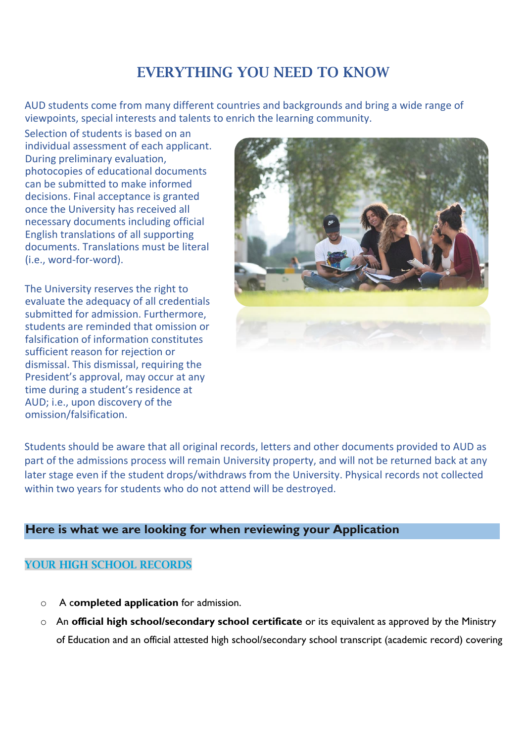# EVERYTHING YOU NEED TO KNOW

AUD students come from many different countries and backgrounds and bring a wide range of viewpoints, special interests and talents to enrich the learning community.

Selection of students is based on an individual assessment of each applicant. During preliminary evaluation, photocopies of educational documents can be submitted to make informed decisions. Final acceptance is granted once the University has received all necessary documents including official English translations of all supporting documents. Translations must be literal (i.e., word-for-word).

The University reserves the right to evaluate the adequacy of all credentials submitted for admission. Furthermore, students are reminded that omission or falsification of information constitutes sufficient reason for rejection or dismissal. This dismissal, requiring the President's approval, may occur at any time during a student's residence at AUD; i.e., upon discovery of the omission/falsification.



Students should be aware that all original records, letters and other documents provided to AUD as part of the admissions process will remain University property, and will not be returned back at any later stage even if the student drops/withdraws from the University. Physical records not collected within two years for students who do not attend will be destroyed.

### **Here is what we are looking for when reviewing your Application**

#### YOUR HIGH SCHOOL RECORDS

- o A c**ompleted application** for admission.
- o An **official high school/secondary school certificate** or its equivalent as approved by the Ministry of Education and an official attested high school/secondary school transcript (academic record) covering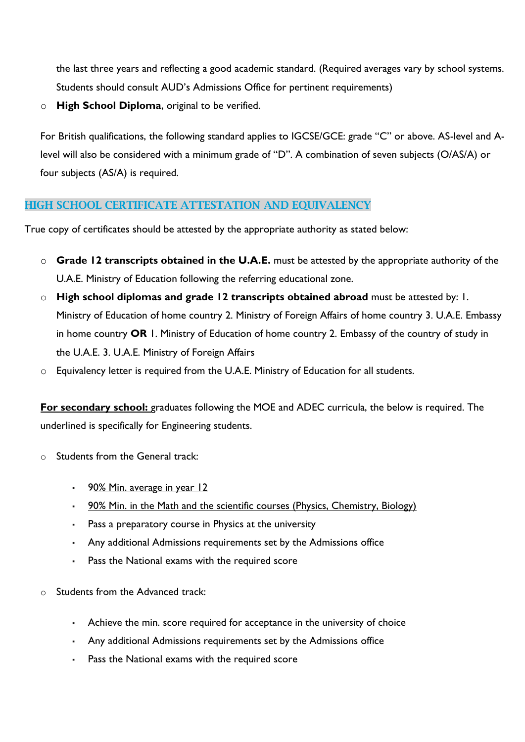the last three years and reflecting a good academic standard. (Required averages vary by school systems. Students should consult AUD's Admissions Office for pertinent requirements)

o **High School Diploma**, original to be verified.

For British qualifications, the following standard applies to IGCSE/GCE: grade "C" or above. AS-level and Alevel will also be considered with a minimum grade of "D". A combination of seven subjects (O/AS/A) or four subjects (AS/A) is required.

#### HIGH SCHOOL CERTIFICATE ATTESTATION AND EQUIVALENCY

True copy of certificates should be attested by the appropriate authority as stated below:

- o **Grade 12 transcripts obtained in the U.A.E.** must be attested by the appropriate authority of the U.A.E. Ministry of Education following the referring educational zone.
- o **High school diplomas and grade 12 transcripts obtained abroad** must be attested by: 1. Ministry of Education of home country 2. Ministry of Foreign Affairs of home country 3. U.A.E. Embassy in home country **OR** 1. Ministry of Education of home country 2. Embassy of the country of study in the U.A.E. 3. U.A.E. Ministry of Foreign Affairs
- o Equivalency letter is required from the U.A.E. Ministry of Education for all students.

**For secondary school:** graduates following the MOE and ADEC curricula, the below is required. The underlined is specifically for Engineering students.

- o Students from the General track:
	- **•** 90% Min. average in year 12
	- 90% Min. in the Math and the scientific courses (Physics, Chemistry, Biology)
	- Pass a preparatory course in Physics at the university
	- Any additional Admissions requirements set by the Admissions office
	- Pass the National exams with the required score
- o Students from the Advanced track:
	- Achieve the min. score required for acceptance in the university of choice
	- Any additional Admissions requirements set by the Admissions office
	- Pass the National exams with the required score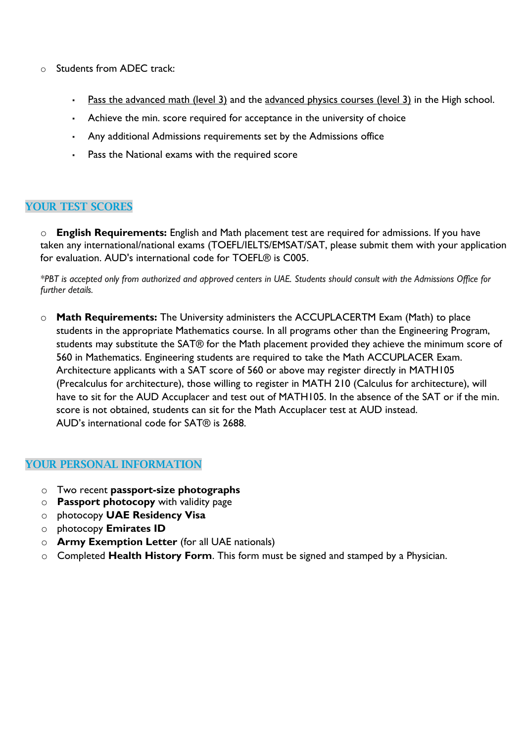- o Students from ADEC track:
	- Pass the advanced math (level 3) and the advanced physics courses (level 3) in the High school.
	- Achieve the min. score required for acceptance in the university of choice
	- Any additional Admissions requirements set by the Admissions office
	- Pass the National exams with the required score

#### YOUR TEST SCORES

o **English Requirements:** English and Math placement test are required for admissions. If you have taken any international/national exams (TOEFL/IELTS/EMSAT/SAT, please submit them with your application for evaluation. AUD's international code for TOEFL® is C005.

*\*PBT is accepted only from authorized and approved centers in UAE. Students should consult with the Admissions Office for further details.* 

o **Math Requirements:** The University administers the ACCUPLACERTM Exam (Math) to place students in the appropriate Mathematics course. In all programs other than the Engineering Program, students may substitute the SAT® for the Math placement provided they achieve the minimum score of 560 in Mathematics. Engineering students are required to take the Math ACCUPLACER Exam. Architecture applicants with a SAT score of 560 or above may register directly in MATH105 (Precalculus for architecture), those willing to register in MATH 210 (Calculus for architecture), will have to sit for the AUD Accuplacer and test out of MATH105. In the absence of the SAT or if the min. score is not obtained, students can sit for the Math Accuplacer test at AUD instead. AUD's international code for SAT® is 2688.

#### YOUR PERSONAL INFORMATION

- o Two recent **passport-size photographs**
- o **Passport photocopy** with validity page
- o photocopy **UAE Residency Visa**
- o photocopy **Emirates ID**
- o **Army Exemption Letter** (for all UAE nationals)
- o Completed **Health History Form**. This form must be signed and stamped by a Physician.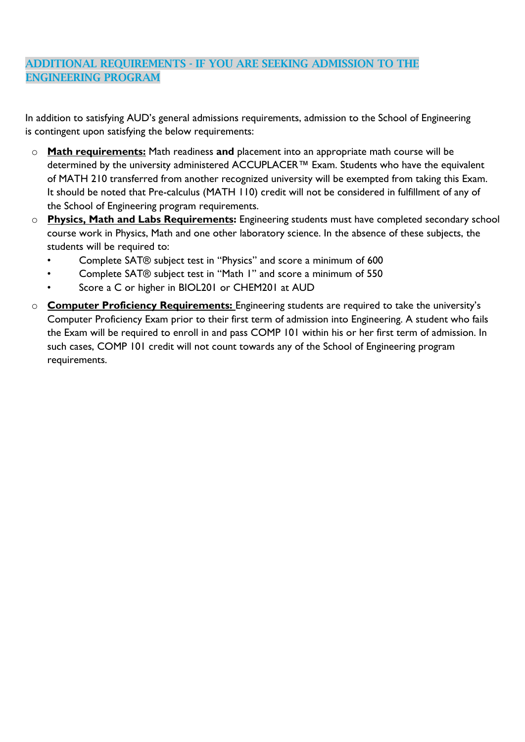# ADDITIONAL REQUIREMENTS - IF YOU ARE SEEKING ADMISSION TO THE ENGINEERING PROGRAM

In addition to satisfying AUD's general admissions requirements, admission to the School of Engineering is contingent upon satisfying the below requirements:

- o **Math requirements:** Math readiness **and** placement into an appropriate math course will be determined by the university administered ACCUPLACER™ Exam. Students who have the equivalent of MATH 210 transferred from another recognized university will be exempted from taking this Exam. It should be noted that Pre-calculus (MATH 110) credit will not be considered in fulfillment of any of the School of Engineering program requirements.
- o **Physics, Math and Labs Requirements:** Engineering students must have completed secondary school course work in Physics, Math and one other laboratory science. In the absence of these subjects, the students will be required to:
	- Complete SAT® subject test in "Physics" and score a minimum of 600
	- Complete SAT® subject test in "Math 1" and score a minimum of 550
	- Score a C or higher in BIOL201 or CHEM201 at AUD
- o **Computer Proficiency Requirements:** Engineering students are required to take the university's Computer Proficiency Exam prior to their first term of admission into Engineering. A student who fails the Exam will be required to enroll in and pass COMP 101 within his or her first term of admission. In such cases, COMP 101 credit will not count towards any of the School of Engineering program requirements.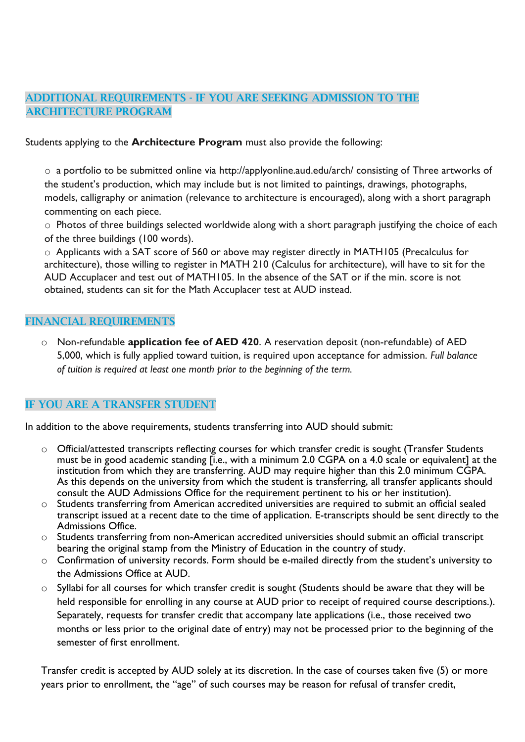## ADDITIONAL REQUIREMENTS - IF YOU ARE SEEKING ADMISSION TO THE ARCHITECTURE PROGRAM

Students applying to the **Architecture Program** must also provide the following:

o a portfolio to be submitted online via http://applyonline.aud.edu/arch/ consisting of Three artworks of the student's production, which may include but is not limited to paintings, drawings, photographs, models, calligraphy or animation (relevance to architecture is encouraged), along with a short paragraph commenting on each piece.

o Photos of three buildings selected worldwide along with a short paragraph justifying the choice of each of the three buildings (100 words).

o Applicants with a SAT score of 560 or above may register directly in MATH105 (Precalculus for architecture), those willing to register in MATH 210 (Calculus for architecture), will have to sit for the AUD Accuplacer and test out of MATH105. In the absence of the SAT or if the min. score is not obtained, students can sit for the Math Accuplacer test at AUD instead.

#### FINANCIAL REQUIREMENTS

o Non-refundable **application fee of AED 420**. A reservation deposit (non-refundable) of AED 5,000, which is fully applied toward tuition, is required upon acceptance for admission. *Full balance of tuition is required at least one month prior to the beginning of the term.*

# IF YOU ARE A TRANSFER STUDENT

In addition to the above requirements, students transferring into AUD should submit:

- o Official/attested transcripts reflecting courses for which transfer credit is sought (Transfer Students must be in good academic standing [i.e., with a minimum 2.0 CGPA on a 4.0 scale or equivalent] at the institution from which they are transferring. AUD may require higher than this 2.0 minimum CGPA. As this depends on the university from which the student is transferring, all transfer applicants should consult the AUD Admissions Office for the requirement pertinent to his or her institution).
- o Students transferring from American accredited universities are required to submit an official sealed transcript issued at a recent date to the time of application. E-transcripts should be sent directly to the Admissions Office.
- o Students transferring from non-American accredited universities should submit an official transcript bearing the original stamp from the Ministry of Education in the country of study.
- o Confirmation of university records. Form should be e-mailed directly from the student's university to the Admissions Office at AUD.
- o Syllabi for all courses for which transfer credit is sought (Students should be aware that they will be held responsible for enrolling in any course at AUD prior to receipt of required course descriptions.). Separately, requests for transfer credit that accompany late applications (i.e., those received two months or less prior to the original date of entry) may not be processed prior to the beginning of the semester of first enrollment.

Transfer credit is accepted by AUD solely at its discretion. In the case of courses taken five (5) or more years prior to enrollment, the "age" of such courses may be reason for refusal of transfer credit,